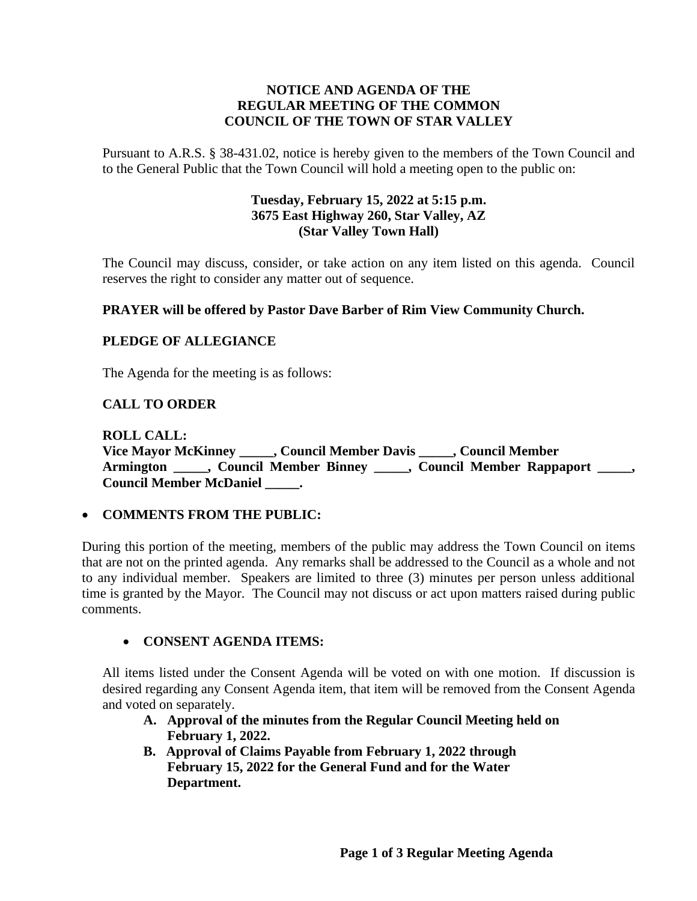## **NOTICE AND AGENDA OF THE REGULAR MEETING OF THE COMMON COUNCIL OF THE TOWN OF STAR VALLEY**

Pursuant to A.R.S. § 38-431.02, notice is hereby given to the members of the Town Council and to the General Public that the Town Council will hold a meeting open to the public on:

## **Tuesday, February 15, 2022 at 5:15 p.m. 3675 East Highway 260, Star Valley, AZ (Star Valley Town Hall)**

The Council may discuss, consider, or take action on any item listed on this agenda. Council reserves the right to consider any matter out of sequence.

## **PRAYER will be offered by Pastor Dave Barber of Rim View Community Church.**

## **PLEDGE OF ALLEGIANCE**

The Agenda for the meeting is as follows:

## **CALL TO ORDER**

**ROLL CALL: Vice Mayor McKinney \_\_\_\_\_, Council Member Davis \_\_\_\_\_, Council Member Armington \_\_\_\_\_, Council Member Binney \_\_\_\_\_, Council Member Rappaport \_\_\_\_\_, Council Member McDaniel \_\_\_\_\_.**

#### • **COMMENTS FROM THE PUBLIC:**

During this portion of the meeting, members of the public may address the Town Council on items that are not on the printed agenda. Any remarks shall be addressed to the Council as a whole and not to any individual member. Speakers are limited to three (3) minutes per person unless additional time is granted by the Mayor. The Council may not discuss or act upon matters raised during public comments.

#### • **CONSENT AGENDA ITEMS:**

All items listed under the Consent Agenda will be voted on with one motion. If discussion is desired regarding any Consent Agenda item, that item will be removed from the Consent Agenda and voted on separately.

- **A. Approval of the minutes from the Regular Council Meeting held on February 1, 2022.**
- **B. Approval of Claims Payable from February 1, 2022 through February 15, 2022 for the General Fund and for the Water Department.**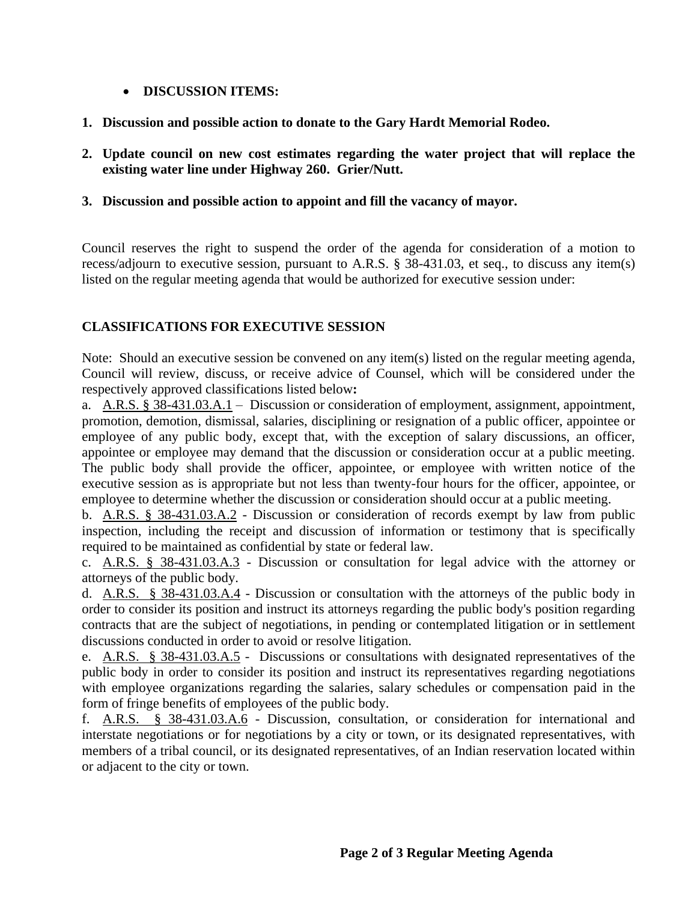## • **DISCUSSION ITEMS:**

- **1. Discussion and possible action to donate to the Gary Hardt Memorial Rodeo.**
- **2. Update council on new cost estimates regarding the water project that will replace the existing water line under Highway 260. Grier/Nutt.**

## **3. Discussion and possible action to appoint and fill the vacancy of mayor.**

Council reserves the right to suspend the order of the agenda for consideration of a motion to recess/adjourn to executive session, pursuant to A.R.S. § 38-431.03, et seq., to discuss any item(s) listed on the regular meeting agenda that would be authorized for executive session under:

# **CLASSIFICATIONS FOR EXECUTIVE SESSION**

Note: Should an executive session be convened on any item(s) listed on the regular meeting agenda, Council will review, discuss, or receive advice of Counsel, which will be considered under the respectively approved classifications listed below**:**

a. A.R.S. § 38-431.03.A.1 – Discussion or consideration of employment, assignment, appointment, promotion, demotion, dismissal, salaries, disciplining or resignation of a public officer, appointee or employee of any public body, except that, with the exception of salary discussions, an officer, appointee or employee may demand that the discussion or consideration occur at a public meeting. The public body shall provide the officer, appointee, or employee with written notice of the executive session as is appropriate but not less than twenty-four hours for the officer, appointee, or employee to determine whether the discussion or consideration should occur at a public meeting.

b. A.R.S. § 38-431.03.A.2 - Discussion or consideration of records exempt by law from public inspection, including the receipt and discussion of information or testimony that is specifically required to be maintained as confidential by state or federal law.

c. A.R.S. § 38-431.03.A.3 - Discussion or consultation for legal advice with the attorney or attorneys of the public body.

d. A.R.S. § 38-431.03.A.4 - Discussion or consultation with the attorneys of the public body in order to consider its position and instruct its attorneys regarding the public body's position regarding contracts that are the subject of negotiations, in pending or contemplated litigation or in settlement discussions conducted in order to avoid or resolve litigation.

e. A.R.S. § 38-431.03.A.5 - Discussions or consultations with designated representatives of the public body in order to consider its position and instruct its representatives regarding negotiations with employee organizations regarding the salaries, salary schedules or compensation paid in the form of fringe benefits of employees of the public body.

f. A.R.S. § 38-431.03.A.6 - Discussion, consultation, or consideration for international and interstate negotiations or for negotiations by a city or town, or its designated representatives, with members of a tribal council, or its designated representatives, of an Indian reservation located within or adjacent to the city or town.